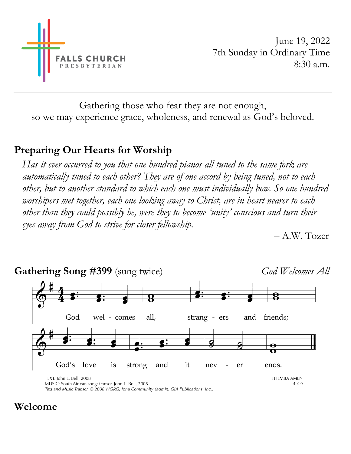

June 19, 2022 7th Sunday in Ordinary Time 8:30 a.m.

Gathering those who fear they are not enough, so we may experience grace, wholeness, and renewal as God's beloved.

## **Preparing Our Hearts for Worship**

*Has it ever occurred to you that one hundred pianos all tuned to the same fork are automatically tuned to each other? They are of one accord by being tuned, not to each other, but to another standard to which each one must individually bow. So one hundred worshipers met together, each one looking away to Christ, are in heart nearer to each other than they could possibly be, were they to become 'unity' conscious and turn their eyes away from God to strive for closer fellowship.*

– A.W. Tozer



Text and Music Transcr. © 2008 WGRG, Iona Community (admin. GIA Publications, Inc.)

### **Welcome**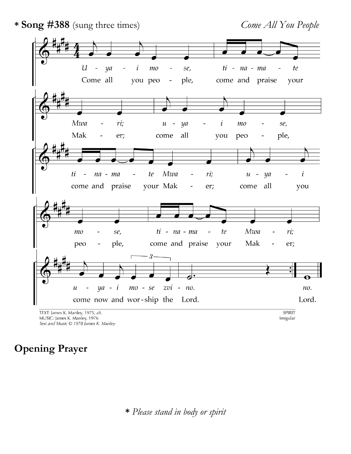

# **Opening Prayer**

**\*** *Please stand in body or spirit*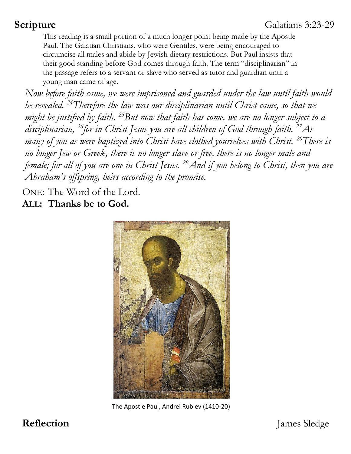This reading is a small portion of a much longer point being made by the Apostle Paul. The Galatian Christians, who were Gentiles, were being encouraged to circumcise all males and abide by Jewish dietary restrictions. But Paul insists that their good standing before God comes through faith. The term "disciplinarian" in the passage refers to a servant or slave who served as tutor and guardian until a young man came of age.

*Now before faith came, we were imprisoned and guarded under the law until faith would be revealed. <sup>24</sup>Therefore the law was our disciplinarian until Christ came, so that we might be justified by faith. <sup>25</sup>But now that faith has come, we are no longer subject to a disciplinarian, <sup>26</sup>for in Christ Jesus you are all children of God through faith. <sup>27</sup>As many of you as were baptized into Christ have clothed yourselves with Christ. <sup>28</sup>There is no longer Jew or Greek, there is no longer slave or free, there is no longer male and female; for all of you are one in Christ Jesus. <sup>29</sup>And if you belong to Christ, then you are Abraham's offspring, heirs according to the promise.* 

ONE: The Word of the Lord.

**ALL: Thanks be to God.**



The Apostle Paul, Andrei Rublev (1410-20)

**Reflection** James Sledge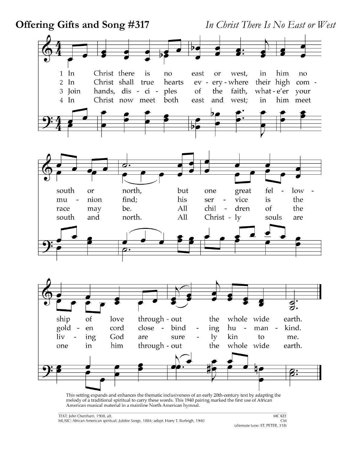

This setting expands and enhances the thematic inclusiveness of an early 20th-century text by adapting the melody of a traditional spiritual to carry these words. This 1940 pairing marked the first use of African American musical material in a mainline North American hymnal.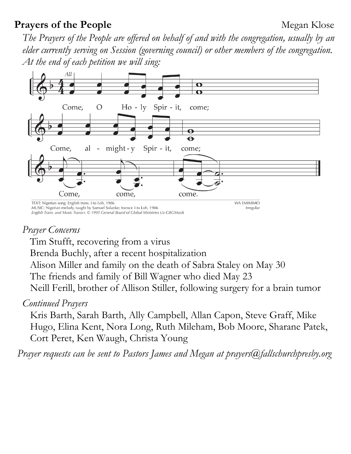### **Prayers of the People** Megan Klose

*The Prayers of the People are offered on behalf of and with the congregation, usually by an elder currently serving on Session (governing council) or other members of the congregation. At the end of each petition we will sing:* 



#### *Prayer Concerns*

Tim Stufft, recovering from a virus

Brenda Buchly, after a recent hospitalization

Alison Miller and family on the death of Sabra Staley on May 30

The friends and family of Bill Wagner who died May 23

Neill Ferill, brother of Allison Stiller, following surgery for a brain tumor

#### *Continued Prayers*

Kris Barth, Sarah Barth, Ally Campbell, Allan Capon, Steve Graff, Mike Hugo, Elina Kent, Nora Long, Ruth Mileham, Bob Moore, Sharane Patek, Cort Peret, Ken Waugh, Christa Young

*Prayer requests can be sent to Pastors James and Megan at [prayers@fallschurchpresby.org](mailto:prayers@fallschurchpresby.org)*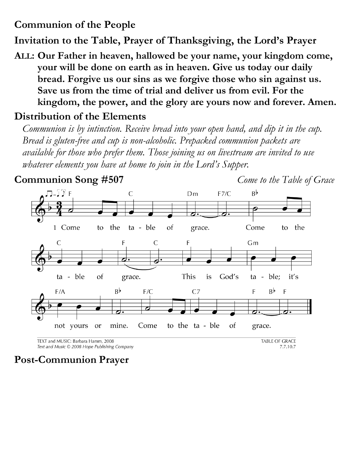## **Communion of the People**

**Invitation to the Table, Prayer of Thanksgiving, the Lord's Prayer**

**ALL: Our Father in heaven, hallowed be your name, your kingdom come, your will be done on earth as in heaven. Give us today our daily bread. Forgive us our sins as we forgive those who sin against us. Save us from the time of trial and deliver us from evil. For the kingdom, the power, and the glory are yours now and forever. Amen.**

### **Distribution of the Elements**

*Communion is by intinction. Receive bread into your open hand, and dip it in the cup. Bread is gluten-free and cup is non-alcoholic. Prepacked communion packets are available for those who prefer them. Those joining us on livestream are invited to use whatever elements you have at home to join in the Lord's Supper.*



TEXT and MUSIC: Barbara Hamm, 2008 Text and Music © 2008 Hope Publishing Company **TABLE OF GRACE** 7.7.10.7

**Post-Communion Prayer**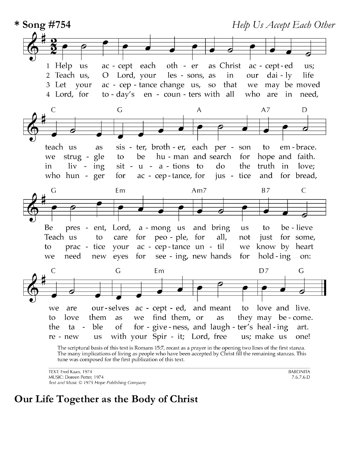

The many implications of living as people who have been accepted by Christ fill the remaining stanzas. This tune was composed for the first publication of this text.

TEXT: Fred Kaan, 1974 MUSIC: Doreen Potter, 1974 Text and Music © 1975 Hope Publishing Company **BARONITA**  $7.6.7.6.D$ 

### **Our Life Together as the Body of Christ**